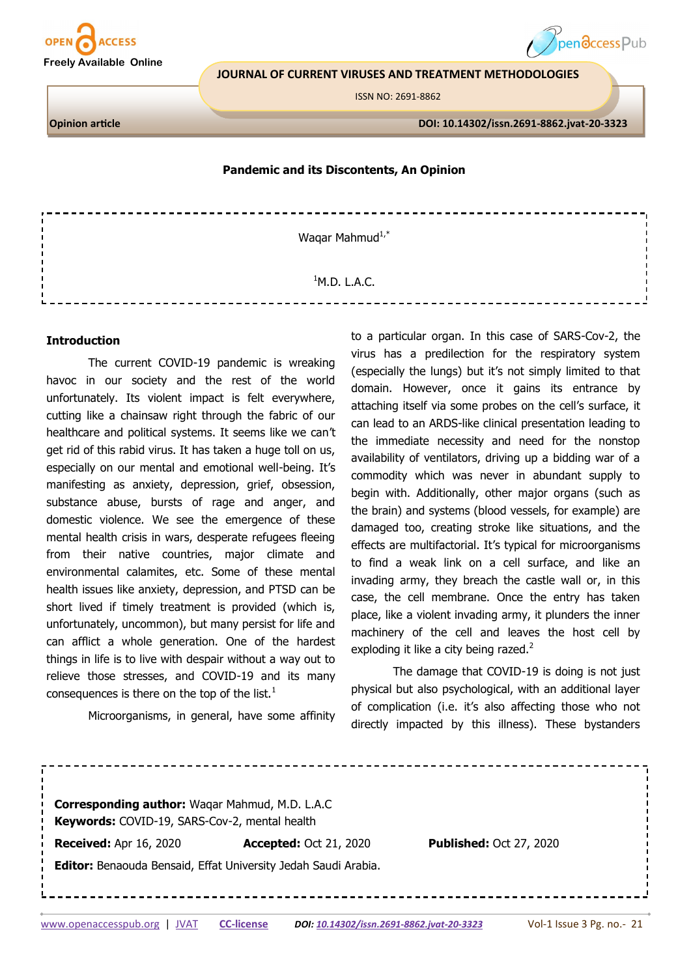

**JOURNAL OF CURRENT VIRUSES AND TREATMENT METHODOLOGIES** 

ISSN NO: 2691-8862

**Opinion article** 



pendccess Pub

## **Pandemic and its Discontents, An Opinion**

[Waqar Mahmud](https://oap.manuscriptzone.net/user/33359) $1,^*$ 

 $<sup>1</sup>M.D.$  L.A.C.</sup>

## **Introduction**

The current COVID-19 pandemic is wreaking havoc in our society and the rest of the world unfortunately. Its violent impact is felt everywhere, cutting like a chainsaw right through the fabric of our healthcare and political systems. It seems like we can't get rid of this rabid virus. It has taken a huge toll on us, especially on our mental and emotional well-being. It's manifesting as anxiety, depression, grief, obsession, substance abuse, bursts of rage and anger, and domestic violence. We see the emergence of these mental health crisis in wars, desperate refugees fleeing from their native countries, major climate and environmental calamites, etc. Some of these mental health issues like anxiety, depression, and PTSD can be short lived if timely treatment is provided (which is, unfortunately, uncommon), but many persist for life and can afflict a whole generation. One of the hardest things in life is to live with despair without a way out to relieve those stresses, and COVID-19 and its many consequences is there on the top of the list. $1$ 

Microorganisms, in general, have some affinity

to a particular organ. In this case of SARS-Cov-2, the virus has a predilection for the respiratory system (especially the lungs) but it's not simply limited to that domain. However, once it gains its entrance by attaching itself via some probes on the cell's surface, it can lead to an ARDS-like clinical presentation leading to the immediate necessity and need for the nonstop availability of ventilators, driving up a bidding war of a commodity which was never in abundant supply to begin with. Additionally, other major organs (such as the brain) and systems (blood vessels, for example) are damaged too, creating stroke like situations, and the effects are multifactorial. It's typical for microorganisms to find a weak link on a cell surface, and like an invading army, they breach the castle wall or, in this case, the cell membrane. Once the entry has taken place, like a violent invading army, it plunders the inner machinery of the cell and leaves the host cell by exploding it like a city being razed. $2$ 

The damage that COVID-19 is doing is not just physical but also psychological, with an additional layer of complication (i.e. it's also affecting those who not directly impacted by this illness). These bystanders

| <b>Corresponding author: Wagar Mahmud, M.D. L.A.C</b> |                                                                |                                |  |
|-------------------------------------------------------|----------------------------------------------------------------|--------------------------------|--|
| Keywords: COVID-19, SARS-Cov-2, mental health         |                                                                |                                |  |
| <b>Received:</b> Apr 16, 2020                         | <b>Accepted: Oct 21, 2020</b>                                  | <b>Published: Oct 27, 2020</b> |  |
|                                                       | Editor: Benaouda Bensaid, Effat University Jedah Saudi Arabia. |                                |  |
|                                                       |                                                                |                                |  |
|                                                       |                                                                |                                |  |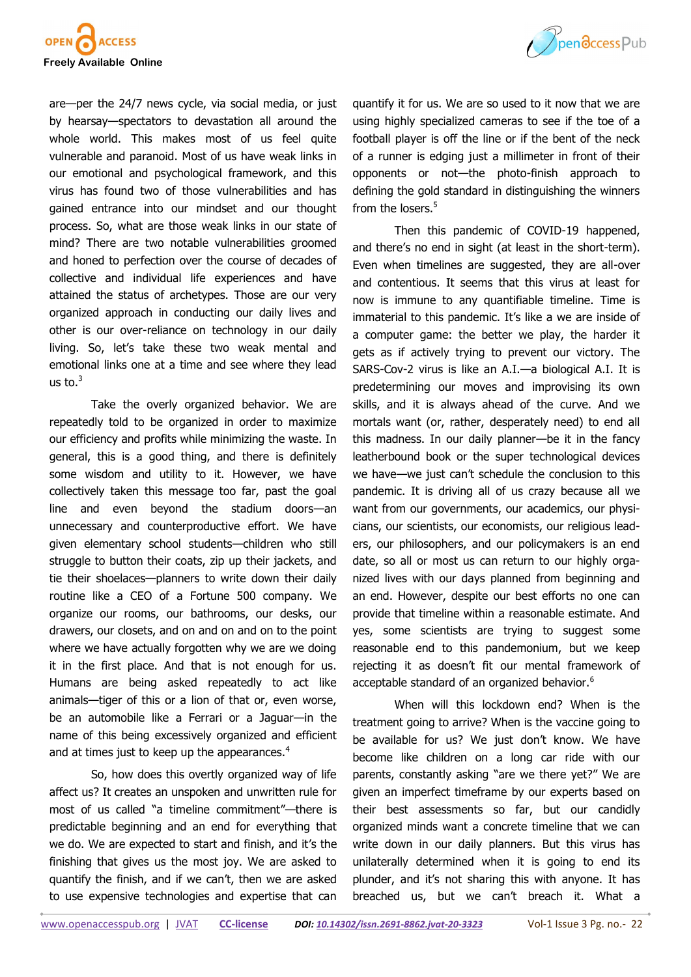



are—per the 24/7 news cycle, via social media, or just by hearsay—spectators to devastation all around the whole world. This makes most of us feel quite vulnerable and paranoid. Most of us have weak links in our emotional and psychological framework, and this virus has found two of those vulnerabilities and has gained entrance into our mindset and our thought process. So, what are those weak links in our state of mind? There are two notable vulnerabilities groomed and honed to perfection over the course of decades of collective and individual life experiences and have attained the status of archetypes. Those are our very organized approach in conducting our daily lives and other is our over-reliance on technology in our daily living. So, let's take these two weak mental and emotional links one at a time and see where they lead us to. $^3$ 

Take the overly organized behavior. We are repeatedly told to be organized in order to maximize our efficiency and profits while minimizing the waste. In general, this is a good thing, and there is definitely some wisdom and utility to it. However, we have collectively taken this message too far, past the goal line and even beyond the stadium doors—an unnecessary and counterproductive effort. We have given elementary school students—children who still struggle to button their coats, zip up their jackets, and tie their shoelaces—planners to write down their daily routine like a CEO of a Fortune 500 company. We organize our rooms, our bathrooms, our desks, our drawers, our closets, and on and on and on to the point where we have actually forgotten why we are we doing it in the first place. And that is not enough for us. Humans are being asked repeatedly to act like animals—tiger of this or a lion of that or, even worse, be an automobile like a Ferrari or a Jaguar—in the name of this being excessively organized and efficient and at times just to keep up the appearances.<sup>4</sup>

So, how does this overtly organized way of life affect us? It creates an unspoken and unwritten rule for most of us called "a timeline commitment"—there is predictable beginning and an end for everything that we do. We are expected to start and finish, and it's the finishing that gives us the most joy. We are asked to quantify the finish, and if we can't, then we are asked to use expensive technologies and expertise that can

quantify it for us. We are so used to it now that we are using highly specialized cameras to see if the toe of a football player is off the line or if the bent of the neck of a runner is edging just a millimeter in front of their opponents or not—the photo-finish approach to defining the gold standard in distinguishing the winners from the losers.<sup>5</sup>

Then this pandemic of COVID-19 happened, and there's no end in sight (at least in the short-term). Even when timelines are suggested, they are all-over and contentious. It seems that this virus at least for now is immune to any quantifiable timeline. Time is immaterial to this pandemic. It's like a we are inside of a computer game: the better we play, the harder it gets as if actively trying to prevent our victory. The SARS-Cov-2 virus is like an A.I.—a biological A.I. It is predetermining our moves and improvising its own skills, and it is always ahead of the curve. And we mortals want (or, rather, desperately need) to end all this madness. In our daily planner—be it in the fancy leatherbound book or the super technological devices we have—we just can't schedule the conclusion to this pandemic. It is driving all of us crazy because all we want from our governments, our academics, our physicians, our scientists, our economists, our religious leaders, our philosophers, and our policymakers is an end date, so all or most us can return to our highly organized lives with our days planned from beginning and an end. However, despite our best efforts no one can provide that timeline within a reasonable estimate. And yes, some scientists are trying to suggest some reasonable end to this pandemonium, but we keep rejecting it as doesn't fit our mental framework of acceptable standard of an organized behavior.<sup>6</sup>

When will this lockdown end? When is the treatment going to arrive? When is the vaccine going to be available for us? We just don't know. We have become like children on a long car ride with our parents, constantly asking "are we there yet?" We are given an imperfect timeframe by our experts based on their best assessments so far, but our candidly organized minds want a concrete timeline that we can write down in our daily planners. But this virus has unilaterally determined when it is going to end its plunder, and it's not sharing this with anyone. It has breached us, but we can't breach it. What a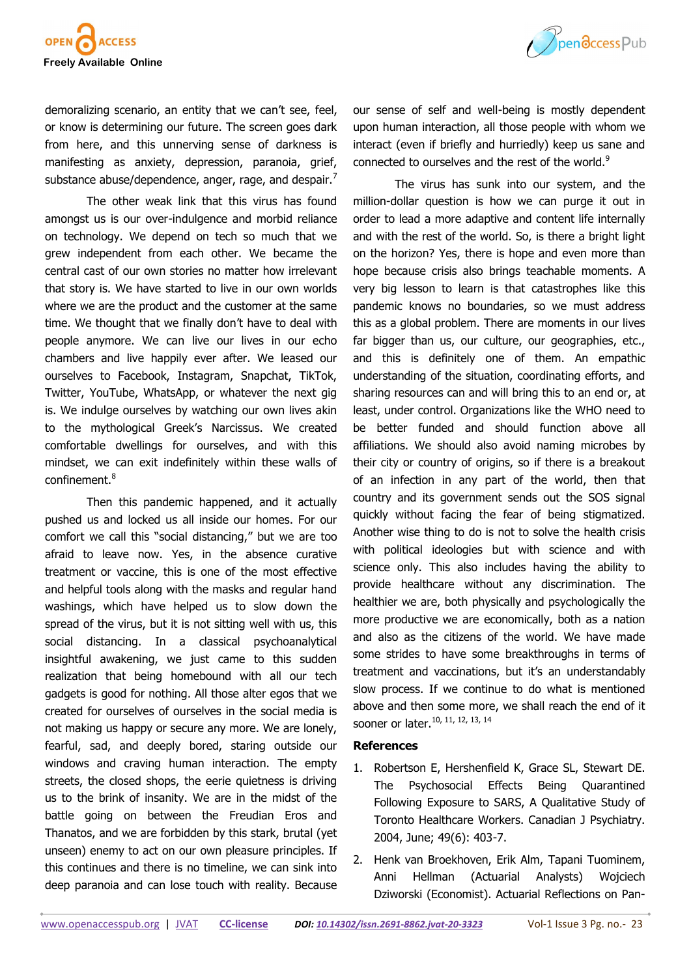

demoralizing scenario, an entity that we can't see, feel, or know is determining our future. The screen goes dark from here, and this unnerving sense of darkness is manifesting as anxiety, depression, paranoia, grief, substance abuse/dependence, anger, rage, and despair.<sup>7</sup>

The other weak link that this virus has found amongst us is our over-indulgence and morbid reliance on technology. We depend on tech so much that we grew independent from each other. We became the central cast of our own stories no matter how irrelevant that story is. We have started to live in our own worlds where we are the product and the customer at the same time. We thought that we finally don't have to deal with people anymore. We can live our lives in our echo chambers and live happily ever after. We leased our ourselves to Facebook, Instagram, Snapchat, TikTok, Twitter, YouTube, WhatsApp, or whatever the next gig is. We indulge ourselves by watching our own lives akin to the mythological Greek's Narcissus. We created comfortable dwellings for ourselves, and with this mindset, we can exit indefinitely within these walls of confinement.<sup>8</sup>

Then this pandemic happened, and it actually pushed us and locked us all inside our homes. For our comfort we call this "social distancing," but we are too afraid to leave now. Yes, in the absence curative treatment or vaccine, this is one of the most effective and helpful tools along with the masks and regular hand washings, which have helped us to slow down the spread of the virus, but it is not sitting well with us, this social distancing. In a classical psychoanalytical insightful awakening, we just came to this sudden realization that being homebound with all our tech gadgets is good for nothing. All those alter egos that we created for ourselves of ourselves in the social media is not making us happy or secure any more. We are lonely, fearful, sad, and deeply bored, staring outside our windows and craving human interaction. The empty streets, the closed shops, the eerie quietness is driving us to the brink of insanity. We are in the midst of the battle going on between the Freudian Eros and Thanatos, and we are forbidden by this stark, brutal (yet unseen) enemy to act on our own pleasure principles. If this continues and there is no timeline, we can sink into deep paranoia and can lose touch with reality. Because

our sense of self and well-being is mostly dependent upon human interaction, all those people with whom we interact (even if briefly and hurriedly) keep us sane and connected to ourselves and the rest of the world.<sup>9</sup>

The virus has sunk into our system, and the million-dollar question is how we can purge it out in order to lead a more adaptive and content life internally and with the rest of the world. So, is there a bright light on the horizon? Yes, there is hope and even more than hope because crisis also brings teachable moments. A very big lesson to learn is that catastrophes like this pandemic knows no boundaries, so we must address this as a global problem. There are moments in our lives far bigger than us, our culture, our geographies, etc., and this is definitely one of them. An empathic understanding of the situation, coordinating efforts, and sharing resources can and will bring this to an end or, at least, under control. Organizations like the WHO need to be better funded and should function above all affiliations. We should also avoid naming microbes by their city or country of origins, so if there is a breakout of an infection in any part of the world, then that country and its government sends out the SOS signal quickly without facing the fear of being stigmatized. Another wise thing to do is not to solve the health crisis with political ideologies but with science and with science only. This also includes having the ability to provide healthcare without any discrimination. The healthier we are, both physically and psychologically the more productive we are economically, both as a nation and also as the citizens of the world. We have made some strides to have some breakthroughs in terms of treatment and vaccinations, but it's an understandably slow process. If we continue to do what is mentioned above and then some more, we shall reach the end of it sooner or later.<sup>10, 11, 12, 13, 14</sup>

## **References**

- 1. Robertson E, Hershenfield K, Grace SL, Stewart DE. The Psychosocial Effects Being Quarantined Following Exposure to SARS, A Qualitative Study of Toronto Healthcare Workers. Canadian J Psychiatry. 2004, June; 49(6): 403-7.
- 2. Henk van Broekhoven, Erik Alm, Tapani Tuominem, Anni Hellman (Actuarial Analysts) Wojciech Dziworski (Economist). Actuarial Reflections on Pan-